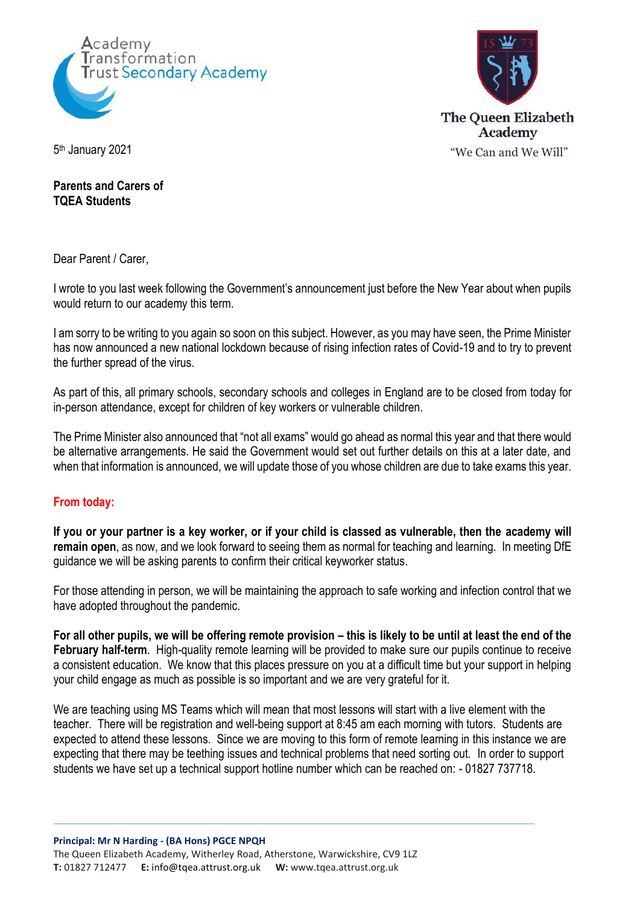



**Parents and Carers of TQEA Students**

Dear Parent / Carer,

I wrote to you last week following the Government's announcement just before the New Year about when pupils would return to our academy this term.

I am sorry to be writing to you again so soon on this subject. However, as you may have seen, the Prime Minister has now announced a new national lockdown because of rising infection rates of Covid-19 and to try to prevent the further spread of the virus.

As part of this, all primary schools, secondary schools and colleges in England are to be closed from today for in-person attendance, except for children of key workers or vulnerable children.

The Prime Minister also announced that "not all exams" would go ahead as normal this year and that there would be alternative arrangements. He said the Government would set out further details on this at a later date, and when that information is announced, we will update those of you whose children are due to take exams this year.

## **From today:**

**If you or your partner is a key worker, or if your child is classed as vulnerable, then the academy will remain open**, as now, and we look forward to seeing them as normal for teaching and learning. In meeting DfE guidance we will be asking parents to confirm their critical keyworker status.

For those attending in person, we will be maintaining the approach to safe working and infection control that we have adopted throughout the pandemic.

**For all other pupils, we will be offering remote provision – this is likely to be until at least the end of the February half-term**. High-quality remote learning will be provided to make sure our pupils continue to receive a consistent education. We know that this places pressure on you at a difficult time but your support in helping your child engage as much as possible is so important and we are very grateful for it.

We are teaching using MS Teams which will mean that most lessons will start with a live element with the teacher. There will be registration and well-being support at 8:45 am each morning with tutors. Students are expected to attend these lessons. Since we are moving to this form of remote learning in this instance we are expecting that there may be teething issues and technical problems that need sorting out. In order to support students we have set up a technical support hotline number which can be reached on: - 01827 737718.